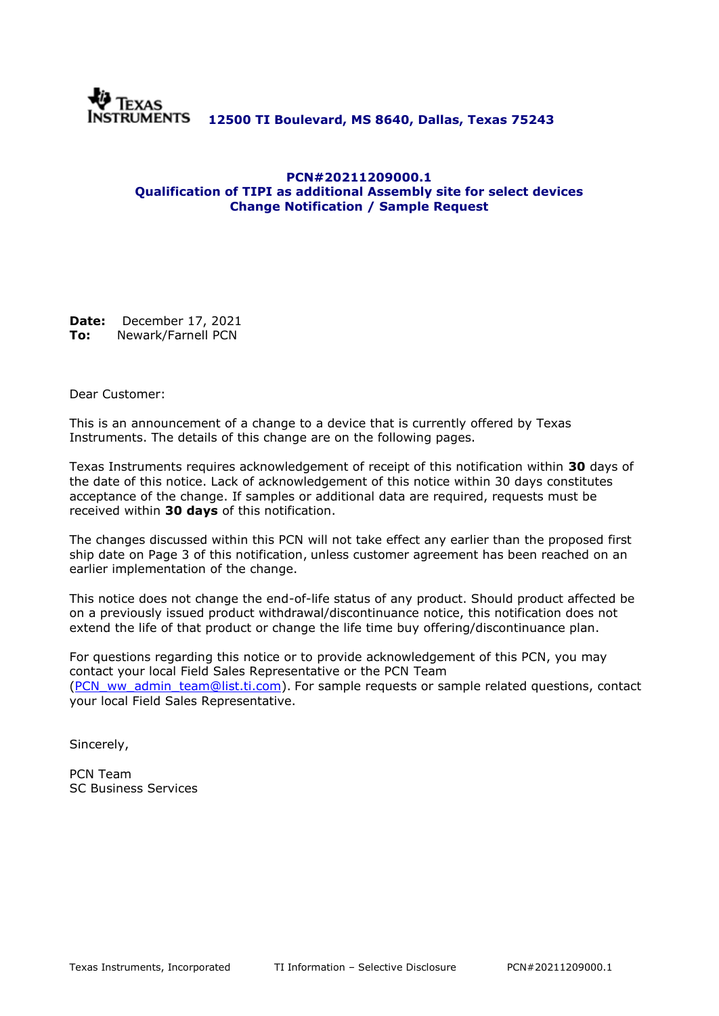

## **PCN#20211209000.1 Qualification of TIPI as additional Assembly site for select devices Change Notification / Sample Request**

**Date:** December 17, 2021 **To:** Newark/Farnell PCN

Dear Customer:

This is an announcement of a change to a device that is currently offered by Texas Instruments. The details of this change are on the following pages.

Texas Instruments requires acknowledgement of receipt of this notification within **30** days of the date of this notice. Lack of acknowledgement of this notice within 30 days constitutes acceptance of the change. If samples or additional data are required, requests must be received within **30 days** of this notification.

The changes discussed within this PCN will not take effect any earlier than the proposed first ship date on Page 3 of this notification, unless customer agreement has been reached on an earlier implementation of the change.

This notice does not change the end-of-life status of any product. Should product affected be on a previously issued product withdrawal/discontinuance notice, this notification does not extend the life of that product or change the life time buy offering/discontinuance plan.

For questions regarding this notice or to provide acknowledgement of this PCN, you may contact your local Field Sales Representative or the PCN Team [\(PCN\\_ww\\_admin\\_team@list.ti.com\)](mailto:PCN_ww_admin_team@list.ti.com). For sample requests or sample related questions, contact your local Field Sales Representative.

Sincerely,

PCN Team SC Business Services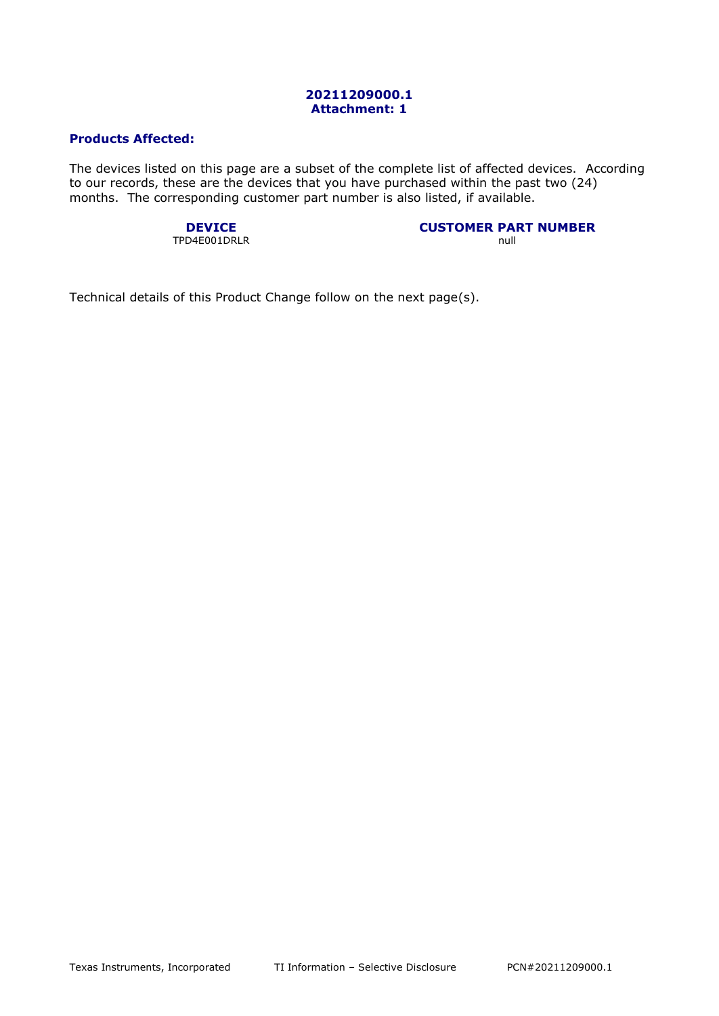### **20211209000.1 Attachment: 1**

# **Products Affected:**

The devices listed on this page are a subset of the complete list of affected devices. According to our records, these are the devices that you have purchased within the past two (24) months. The corresponding customer part number is also listed, if available.

TPD4E001DRLR null

**DEVICE CUSTOMER PART NUMBER**

Technical details of this Product Change follow on the next page(s).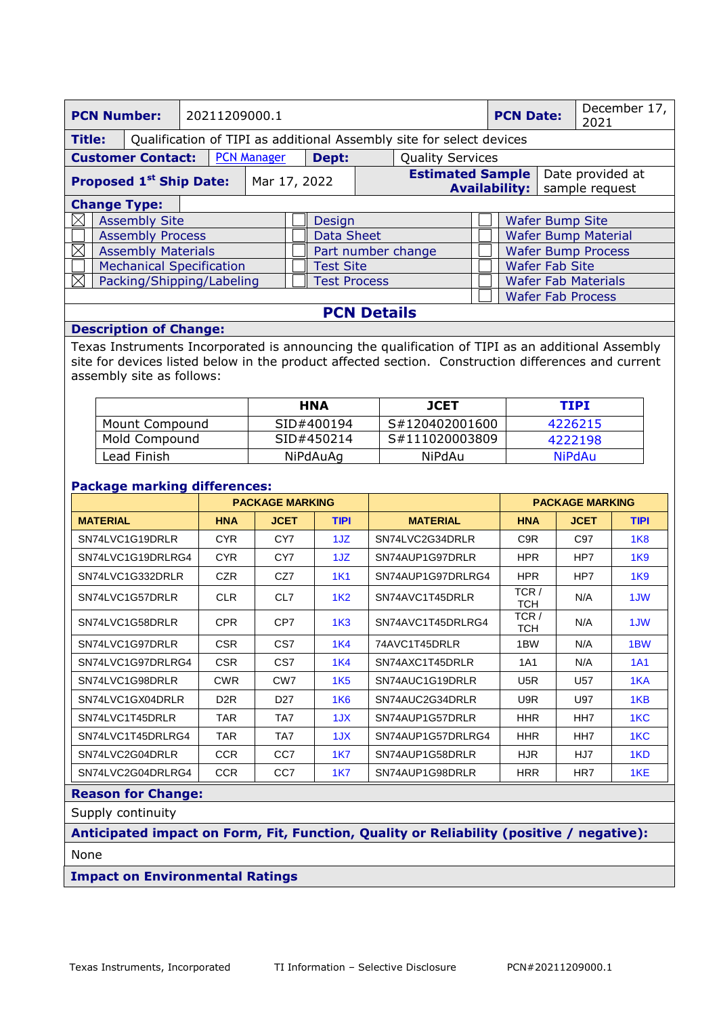| <b>PCN Number:</b>                                                                    |                      |  | 20211209000.1                    |  |                                                                                       |  | <b>PCN Date:</b>      |                           | December 17,<br>2021       |  |  |                          |
|---------------------------------------------------------------------------------------|----------------------|--|----------------------------------|--|---------------------------------------------------------------------------------------|--|-----------------------|---------------------------|----------------------------|--|--|--------------------------|
| <b>Title:</b><br>Qualification of TIPI as additional Assembly site for select devices |                      |  |                                  |  |                                                                                       |  |                       |                           |                            |  |  |                          |
| <b>PCN Manager</b><br><b>Customer Contact:</b>                                        |                      |  | <b>Quality Services</b><br>Dept: |  |                                                                                       |  |                       |                           |                            |  |  |                          |
| <b>Proposed 1st Ship Date:</b>                                                        |                      |  | Mar 17, 2022                     |  | <b>Estimated Sample</b><br>Date provided at<br><b>Availability:</b><br>sample request |  |                       |                           |                            |  |  |                          |
| <b>Change Type:</b>                                                                   |                      |  |                                  |  |                                                                                       |  |                       |                           |                            |  |  |                          |
|                                                                                       | <b>Assembly Site</b> |  |                                  |  | <b>Design</b>                                                                         |  |                       |                           | <b>Wafer Bump Site</b>     |  |  |                          |
| <b>Assembly Process</b>                                                               |                      |  | Data Sheet                       |  |                                                                                       |  |                       |                           | <b>Wafer Bump Material</b> |  |  |                          |
| <b>Assembly Materials</b><br>IX                                                       |                      |  | Part number change               |  |                                                                                       |  |                       | <b>Wafer Bump Process</b> |                            |  |  |                          |
| <b>Mechanical Specification</b>                                                       |                      |  | <b>Test Site</b>                 |  |                                                                                       |  | <b>Wafer Fab Site</b> |                           |                            |  |  |                          |
| Packing/Shipping/Labeling                                                             |                      |  | <b>Test Process</b>              |  |                                                                                       |  |                       |                           | <b>Wafer Fab Materials</b> |  |  |                          |
|                                                                                       |                      |  |                                  |  |                                                                                       |  |                       |                           |                            |  |  | <b>Wafer Fab Process</b> |

**PCN Details**

# **Description of Change:**

Texas Instruments Incorporated is announcing the qualification of TIPI as an additional Assembly site for devices listed below in the product affected section. Construction differences and current assembly site as follows:

|                       | <b>HNA</b> | <b>JCET</b>    | TIPI          |
|-----------------------|------------|----------------|---------------|
| <b>Mount Compound</b> | SID#400194 | S#120402001600 | 4226215       |
| Mold Compound         | SID#450214 | S#111020003809 | 4222198       |
| Lead Finish           | NiPdAuAq   | NiPdAu         | <b>NiPdAu</b> |

## **Package marking differences:**

|                   |                  | <b>PACKAGE MARKING</b> |                 |                   |                  | <b>PACKAGE MARKING</b> |                  |
|-------------------|------------------|------------------------|-----------------|-------------------|------------------|------------------------|------------------|
| <b>MATERIAL</b>   | <b>HNA</b>       | <b>JCET</b>            | <b>TIPI</b>     | <b>MATERIAL</b>   | <b>HNA</b>       | <b>JCET</b>            | <b>TIPI</b>      |
| SN74LVC1G19DRLR   | <b>CYR</b>       | CY7                    | 1JZ.            | SN74LVC2G34DRLR   | C <sub>9</sub> R | C97                    | 1K8              |
| SN74LVC1G19DRLRG4 | <b>CYR</b>       | CY7                    | 1JZ             | SN74AUP1G97DRLR   | <b>HPR</b>       | HP7                    | 1 <sub>K</sub> 9 |
| SN74LVC1G332DRLR  | <b>CZR</b>       | CZ7                    | <b>1K1</b>      | SN74AUP1G97DRLRG4 | HPR              | HP7                    | 1K9              |
| SN74LVC1G57DRLR   | <b>CLR</b>       | CL7                    | 1K <sub>2</sub> | SN74AVC1T45DRLR   | TCR/<br>тсн      | N/A                    | 1JW              |
| SN74LVC1G58DRLR   | <b>CPR</b>       | CP7                    | 1K <sub>3</sub> | SN74AVC1T45DRLRG4 | TCR/<br>TCH      | N/A                    | 1JW              |
| SN74LVC1G97DRLR   | CSR.             | CS7                    | 1K4             | 74AVC1T45DRLR     | 1BW              | N/A                    | 1 <sub>BW</sub>  |
| SN74LVC1G97DRLRG4 | CSR.             | CS7                    | 1K4             | SN74AXC1T45DRLR   | 1A1              | N/A                    | 1A1              |
| SN74LVC1G98DRLR   | <b>CWR</b>       | CW <sub>7</sub>        | 1K <sub>5</sub> | SN74AUC1G19DRLR   | U5R              | U <sub>57</sub>        | 1KA              |
| SN74LVC1GX04DRLR  | D <sub>2</sub> R | D <sub>27</sub>        | <b>1K6</b>      | SN74AUC2G34DRLR   | U9R              | U97                    | 1KB              |
| SN74LVC1T45DRLR   | TAR              | TA7                    | 1JX             | SN74AUP1G57DRLR   | <b>HHR</b>       | HH7                    | 1KC              |
| SN74LVC1T45DRLRG4 | TAR              | TA7                    | 1JX             | SN74AUP1G57DRLRG4 | <b>HHR</b>       | HH7                    | 1KC              |
| SN74LVC2G04DRLR   | <b>CCR</b>       | CC <sub>7</sub>        | 1K7             | SN74AUP1G58DRLR   | HJR.             | HJ7                    | 1KD              |
| SN74LVC2G04DRLRG4 | <b>CCR</b>       | CC <sub>7</sub>        | <b>1K7</b>      | SN74AUP1G98DRLR   | <b>HRR</b>       | HR7                    | 1KE              |

# **Reason for Change:**

Supply continuity

**Anticipated impact on Form, Fit, Function, Quality or Reliability (positive / negative):** None

## **Impact on Environmental Ratings**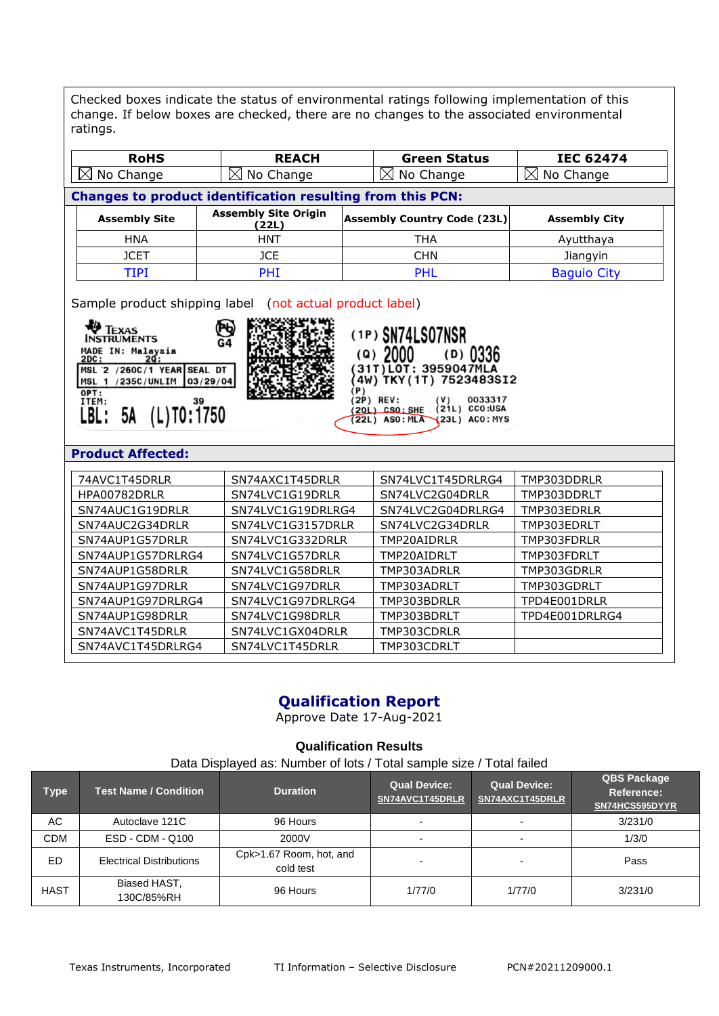Checked boxes indicate the status of environmental ratings following implementation of this change. If below boxes are checked, there are no changes to the associated environmental ratings.

| <b>RoHS</b>                                                                                                                                                                                                                                                                                                                                                     | <b>REACH</b>                                               | <b>Green Status</b>                | <b>IEC 62474</b>                                             |
|-----------------------------------------------------------------------------------------------------------------------------------------------------------------------------------------------------------------------------------------------------------------------------------------------------------------------------------------------------------------|------------------------------------------------------------|------------------------------------|--------------------------------------------------------------|
| No Change<br>$\bowtie$                                                                                                                                                                                                                                                                                                                                          | $\boxtimes$ No Change                                      | ⊠<br>No Change                     | No Change<br>$\boxtimes$                                     |
|                                                                                                                                                                                                                                                                                                                                                                 | Changes to product identification resulting from this PCN: |                                    |                                                              |
| <b>Assembly Site</b>                                                                                                                                                                                                                                                                                                                                            | <b>Assembly Site Origin</b><br>(22L)                       | <b>Assembly Country Code (23L)</b> | <b>Assembly City</b>                                         |
| <b>HNA</b>                                                                                                                                                                                                                                                                                                                                                      | <b>HNT</b>                                                 | <b>THA</b>                         | Ayutthaya                                                    |
| <b>JCET</b>                                                                                                                                                                                                                                                                                                                                                     | <b>JCE</b>                                                 | <b>CHN</b>                         | Jiangyin                                                     |
| <b>TIPI</b>                                                                                                                                                                                                                                                                                                                                                     | PHI                                                        | PHL                                | <b>Baguio City</b>                                           |
| <b>TEXAS</b><br>(1P) SN74LS07NSR<br><b>INSTRUMENTS</b><br>G4<br>MADE IN: Malaysia<br>$\left( \Omega \right)$<br>2DC:<br>20 :<br>31T) LOT: 3959047MLA<br>MSL 2 /260C/1 YEAR SEAL DT<br>4W) TKY (1T) 7523483SI2<br>MSL 1 /235C/UNLIM<br>03/29/04<br>'P)<br>OPT:<br>(2P) REV:<br>ITEM:<br>$(L)$ TO: $1750$<br>20L) CSO: SHE<br>5A<br>LBL :<br><b>22L) ASO: MLA</b> |                                                            |                                    | $(D)$ 0336<br>0033317<br>$(21L)$ CCO:USA<br>$(23L)$ ACO: MYS |
| <b>Product Affected:</b>                                                                                                                                                                                                                                                                                                                                        |                                                            |                                    |                                                              |
| 74AVC1T45DRLR                                                                                                                                                                                                                                                                                                                                                   | SN74AXC1T45DRLR                                            | SN74LVC1T45DRLRG4                  | TMP303DDRLR                                                  |
| HPA00782DRLR                                                                                                                                                                                                                                                                                                                                                    | SN74LVC1G19DRLR                                            | SN74LVC2G04DRLR                    | TMP303DDRLT                                                  |
| SN74AUC1G19DRLR                                                                                                                                                                                                                                                                                                                                                 | SN74LVC1G19DRLRG4                                          | SN74LVC2G04DRLRG4                  | TMP303EDRLR                                                  |
| SN74AUC2G34DRLR                                                                                                                                                                                                                                                                                                                                                 | SN74LVC1G3157DRLR                                          | SN74LVC2G34DRLR                    | TMP303EDRLT                                                  |
| SN74AUP1G57DRLR                                                                                                                                                                                                                                                                                                                                                 | SN74LVC1G332DRLR                                           | TMP20AIDRLR                        | TMP303FDRLR                                                  |
| SN74AUP1G57DRLRG4                                                                                                                                                                                                                                                                                                                                               | SN74LVC1G57DRLR                                            | TMP20AIDRLT                        | TMP303FDRLT                                                  |
| SN74AUP1G58DRLR                                                                                                                                                                                                                                                                                                                                                 | SN74LVC1G58DRLR                                            | TMP303ADRLR                        | TMP303GDRLR                                                  |
| SN74AUP1G97DRLR                                                                                                                                                                                                                                                                                                                                                 | SN74LVC1G97DRLR                                            | TMP303ADRLT                        | TMP303GDRLT                                                  |
| SN74AUP1G97DRLRG4                                                                                                                                                                                                                                                                                                                                               | SN74LVC1G97DRLRG4                                          | TMP303BDRLR                        | TPD4E001DRLR                                                 |
| SN74AUP1G98DRLR                                                                                                                                                                                                                                                                                                                                                 | SN74LVC1G98DRLR                                            | TMP303BDRLT                        | TPD4E001DRLRG4                                               |
| SN74AVC1T45DRLR                                                                                                                                                                                                                                                                                                                                                 | SN74LVC1GX04DRLR                                           | TMP303CDRLR                        |                                                              |
| SN74AVC1T45DRLRG4                                                                                                                                                                                                                                                                                                                                               | SN74LVC1T45DRLR                                            | TMP303CDRLT                        |                                                              |

# **Qualification Report**

Approve Date 17-Aug-2021

# **Qualification Results**

Data Displayed as: Number of lots / Total sample size / Total failed

| <b>Type</b> | <b>Test Name / Condition</b>    | <b>Duration</b>                      | <b>Qual Device:</b><br>SN74AVC1T45DRLR | <b>Qual Device:</b><br>SN74AXC1T45DRLR | <b>QBS Package</b><br>Reference:<br>SN74HCS595DYYR |
|-------------|---------------------------------|--------------------------------------|----------------------------------------|----------------------------------------|----------------------------------------------------|
| AC          | Autoclave 121C                  | 96 Hours                             |                                        |                                        | 3/231/0                                            |
| <b>CDM</b>  | ESD - CDM - Q100                | 2000V                                | $\overline{\phantom{0}}$               |                                        | 1/3/0                                              |
| ED          | <b>Electrical Distributions</b> | Cpk>1.67 Room, hot, and<br>cold test |                                        |                                        | Pass                                               |
| <b>HAST</b> | Biased HAST,<br>130C/85%RH      | 96 Hours                             | 1/77/0                                 | 1/77/0                                 | 3/231/0                                            |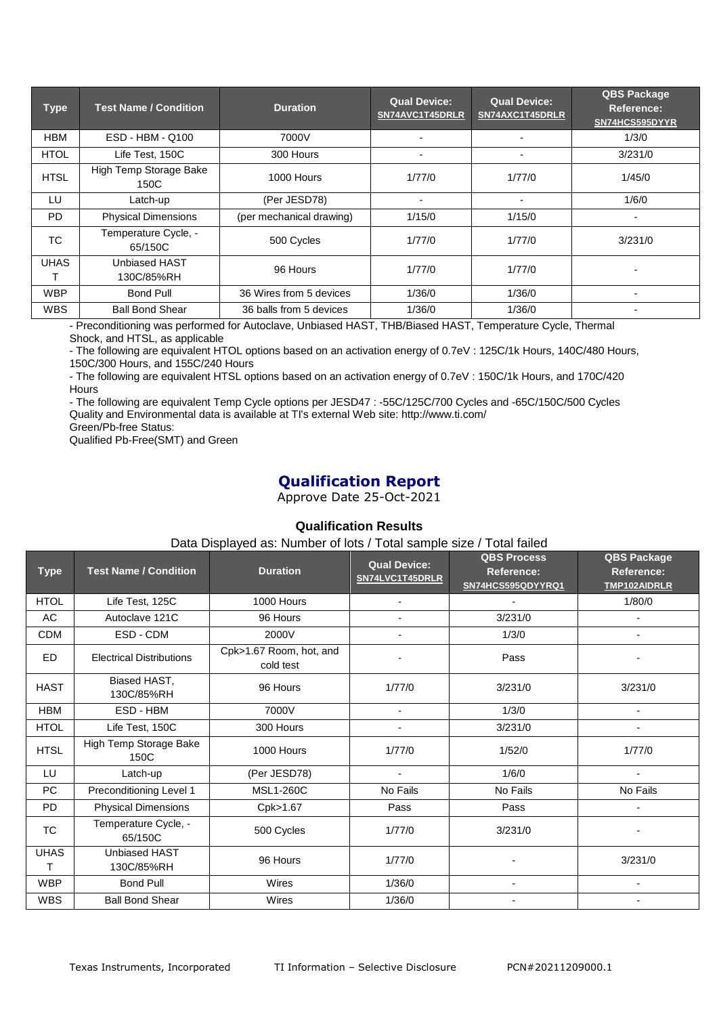| <b>Type</b> | <b>Test Name / Condition</b>    | <b>Duration</b>          | <b>Qual Device:</b><br>SN74AVC1T45DRLR | <b>Qual Device:</b><br>SN74AXC1T45DRLR | <b>QBS Package</b><br>Reference:<br>SN74HCS595DYYR |
|-------------|---------------------------------|--------------------------|----------------------------------------|----------------------------------------|----------------------------------------------------|
| <b>HBM</b>  | ESD - HBM - Q100                | 7000V                    | $\overline{\phantom{0}}$               |                                        | 1/3/0                                              |
| <b>HTOL</b> | Life Test, 150C                 | 300 Hours                | $\blacksquare$                         | $\overline{\phantom{0}}$               | 3/231/0                                            |
| <b>HTSL</b> | High Temp Storage Bake<br>150C  | 1000 Hours               | 1/77/0                                 | 1/77/0                                 | 1/45/0                                             |
| LU          | Latch-up                        | (Per JESD78)             | $\overline{\phantom{0}}$               | $\overline{\phantom{a}}$               | 1/6/0                                              |
| <b>PD</b>   | <b>Physical Dimensions</b>      | (per mechanical drawing) | 1/15/0                                 | 1/15/0                                 | -                                                  |
| <b>TC</b>   | Temperature Cycle, -<br>65/150C | 500 Cycles               | 1/77/0                                 | 1/77/0                                 | 3/231/0                                            |
| <b>UHAS</b> | Unbiased HAST<br>130C/85%RH     | 96 Hours                 | 1/77/0                                 | 1/77/0                                 |                                                    |
| <b>WBP</b>  | Bond Pull                       | 36 Wires from 5 devices  | 1/36/0                                 | 1/36/0                                 | $\blacksquare$                                     |
| <b>WBS</b>  | <b>Ball Bond Shear</b>          | 36 balls from 5 devices  | 1/36/0                                 | 1/36/0                                 |                                                    |

- Preconditioning was performed for Autoclave, Unbiased HAST, THB/Biased HAST, Temperature Cycle, Thermal Shock, and HTSL, as applicable

- The following are equivalent HTOL options based on an activation energy of 0.7eV : 125C/1k Hours, 140C/480 Hours, 150C/300 Hours, and 155C/240 Hours

- The following are equivalent HTSL options based on an activation energy of 0.7eV : 150C/1k Hours, and 170C/420 Hours

- The following are equivalent Temp Cycle options per JESD47 : -55C/125C/700 Cycles and -65C/150C/500 Cycles Quality and Environmental data is available at TI's external Web site: http://www.ti.com/

Green/Pb-free Status:

Qualified Pb-Free(SMT) and Green

# **Qualification Report**

Approve Date 25-Oct-2021

# **Qualification Results**

Data Displayed as: Number of lots / Total sample size / Total failed

| <b>Type</b>      | <b>Test Name / Condition</b>       | <b>Duration</b>                      | <b>Qual Device:</b><br>SN74LVC1T45DRLR | <b>QBS Process</b><br>Reference:<br>SN74HCS595QDYYRQ1 | <b>QBS Package</b><br>Reference:<br>TMP102AIDRLR |
|------------------|------------------------------------|--------------------------------------|----------------------------------------|-------------------------------------------------------|--------------------------------------------------|
| <b>HTOL</b>      | Life Test, 125C                    | 1000 Hours                           |                                        |                                                       | 1/80/0                                           |
| AC               | Autoclave 121C                     | 96 Hours                             |                                        | 3/231/0                                               | ÷                                                |
| <b>CDM</b>       | ESD - CDM                          | 2000V                                |                                        | 1/3/0                                                 |                                                  |
| ED               | <b>Electrical Distributions</b>    | Cpk>1.67 Room, hot, and<br>cold test |                                        | Pass                                                  |                                                  |
| <b>HAST</b>      | Biased HAST,<br>130C/85%RH         | 96 Hours                             | 1/77/0                                 | 3/231/0                                               | 3/231/0                                          |
| <b>HBM</b>       | ESD - HBM                          | 7000V                                |                                        | 1/3/0                                                 |                                                  |
| <b>HTOL</b>      | Life Test, 150C                    | 300 Hours                            |                                        | 3/231/0                                               |                                                  |
| <b>HTSL</b>      | High Temp Storage Bake<br>150C     | 1000 Hours                           | 1/77/0                                 | 1/52/0                                                | 1/77/0                                           |
| LU               | Latch-up                           | (Per JESD78)                         |                                        | 1/6/0                                                 |                                                  |
| PC               | Preconditioning Level 1            | <b>MSL1-260C</b>                     | No Fails                               | No Fails                                              | No Fails                                         |
| <b>PD</b>        | <b>Physical Dimensions</b>         | Cpk>1.67                             | Pass                                   | Pass                                                  | $\overline{\phantom{a}}$                         |
| TC               | Temperature Cycle, -<br>65/150C    | 500 Cycles                           | 1/77/0                                 | 3/231/0                                               |                                                  |
| <b>UHAS</b><br>т | <b>Unbiased HAST</b><br>130C/85%RH | 96 Hours                             | 1/77/0                                 |                                                       | 3/231/0                                          |
| <b>WBP</b>       | <b>Bond Pull</b>                   | Wires                                | 1/36/0                                 | -                                                     |                                                  |
| <b>WBS</b>       | <b>Ball Bond Shear</b>             | Wires                                | 1/36/0                                 |                                                       |                                                  |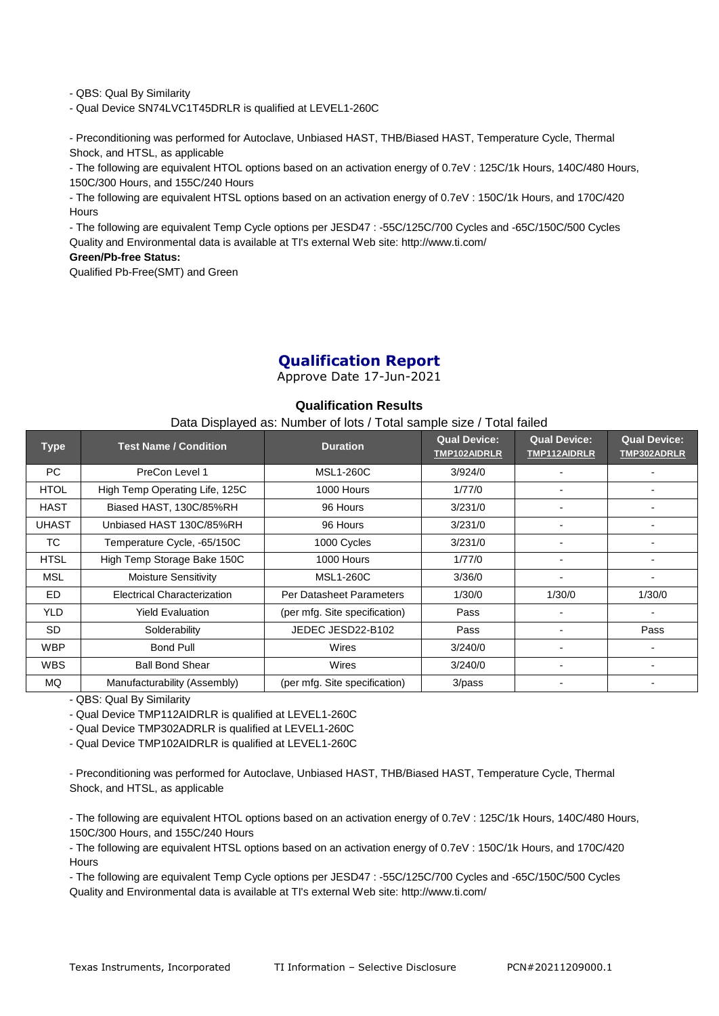- QBS: Qual By Similarity

- Qual Device SN74LVC1T45DRLR is qualified at LEVEL1-260C

- Preconditioning was performed for Autoclave, Unbiased HAST, THB/Biased HAST, Temperature Cycle, Thermal Shock, and HTSL, as applicable

- The following are equivalent HTOL options based on an activation energy of 0.7eV : 125C/1k Hours, 140C/480 Hours, 150C/300 Hours, and 155C/240 Hours

- The following are equivalent HTSL options based on an activation energy of 0.7eV : 150C/1k Hours, and 170C/420 Hours

- The following are equivalent Temp Cycle options per JESD47 : -55C/125C/700 Cycles and -65C/150C/500 Cycles Quality and Environmental data is available at TI's external Web site: http://www.ti.com/

#### **Green/Pb-free Status:**

Qualified Pb-Free(SMT) and Green

# **Qualification Report**

Approve Date 17-Jun-2021

#### **Qualification Results**

#### Data Displayed as: Number of lots / Total sample size / Total failed

| <b>Type</b>  | <b>Test Name / Condition</b>       | <b>Duration</b>               | <b>Qual Device:</b><br>TMP102AIDRLR | <b>Qual Device:</b><br><b>TMP112AIDRLR</b> | <b>Qual Device:</b><br>TMP302ADRLR |
|--------------|------------------------------------|-------------------------------|-------------------------------------|--------------------------------------------|------------------------------------|
| PC           | PreCon Level 1                     | <b>MSL1-260C</b>              | 3/924/0                             |                                            |                                    |
| <b>HTOL</b>  | High Temp Operating Life, 125C     | 1000 Hours                    | 1/77/0                              |                                            |                                    |
| <b>HAST</b>  | Biased HAST, 130C/85%RH            | 96 Hours                      | 3/231/0                             |                                            |                                    |
| <b>UHAST</b> | Unbiased HAST 130C/85%RH           | 96 Hours                      | 3/231/0                             |                                            |                                    |
| TC.          | Temperature Cycle, -65/150C        | 1000 Cycles                   | 3/231/0                             |                                            |                                    |
| <b>HTSL</b>  | High Temp Storage Bake 150C        | 1000 Hours                    | 1/77/0                              |                                            |                                    |
| MSL          | <b>Moisture Sensitivity</b>        | <b>MSL1-260C</b>              | 3/36/0                              | -                                          |                                    |
| ED.          | <b>Electrical Characterization</b> | Per Datasheet Parameters      | 1/30/0                              | 1/30/0                                     | 1/30/0                             |
| YLD.         | <b>Yield Evaluation</b>            | (per mfg. Site specification) | Pass                                | -                                          |                                    |
| <b>SD</b>    | Solderability                      | JEDEC JESD22-B102             | Pass                                |                                            | Pass                               |
| <b>WBP</b>   | <b>Bond Pull</b>                   | Wires                         | 3/240/0                             | -                                          |                                    |
| <b>WBS</b>   | <b>Ball Bond Shear</b>             | Wires                         | 3/240/0                             | -                                          |                                    |
| MQ           | Manufacturability (Assembly)       | (per mfg. Site specification) | $3$ /pass                           |                                            |                                    |

- QBS: Qual By Similarity

- Qual Device TMP112AIDRLR is qualified at LEVEL1-260C

- Qual Device TMP302ADRLR is qualified at LEVEL1-260C

- Qual Device TMP102AIDRLR is qualified at LEVEL1-260C

- Preconditioning was performed for Autoclave, Unbiased HAST, THB/Biased HAST, Temperature Cycle, Thermal Shock, and HTSL, as applicable

- The following are equivalent HTOL options based on an activation energy of 0.7eV : 125C/1k Hours, 140C/480 Hours, 150C/300 Hours, and 155C/240 Hours

- The following are equivalent HTSL options based on an activation energy of 0.7eV : 150C/1k Hours, and 170C/420 **Hours** 

- The following are equivalent Temp Cycle options per JESD47 : -55C/125C/700 Cycles and -65C/150C/500 Cycles Quality and Environmental data is available at TI's external Web site: http://www.ti.com/